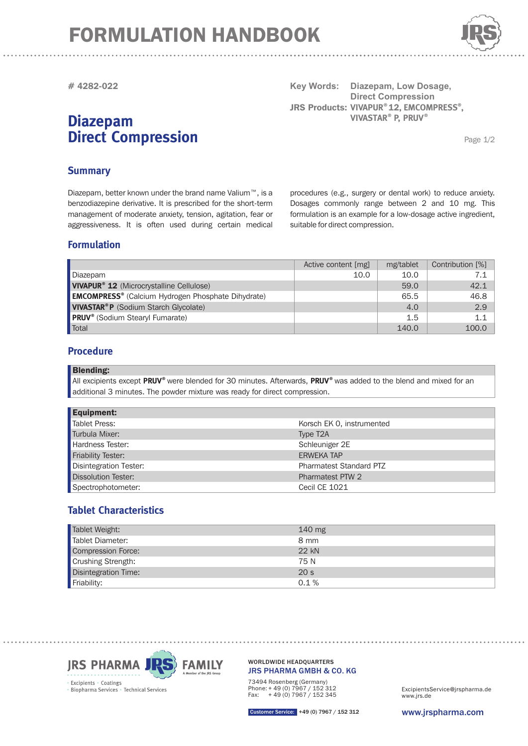## FORMULATION HANDBOOK



**# 4282-022**

## **Diazepam Direct Compression**

**Key Words: JRS Products: VIVAPUR®12, EMCOMPRESS®, Diazepam, Low Dosage, Direct Compression**  $VIVASTAR<sup>®</sup>$  **P, PRUV<sup>®</sup>** 

Page 1/2

### **Summary**

Diazepam, better known under the brand name Valium™, is a benzodiazepine derivative. It is prescribed for the short-term management of moderate anxiety, tension, agitation, fear or aggressiveness. It is often used during certain medical

procedures (e.g., surgery or dental work) to reduce anxiety. Dosages commonly range between 2 and 10 mg. This formulation is an example for a low-dosage active ingredient, suitable for direct compression.

#### **Formulation**

|                                                                      | Active content [mg] | mg/tablet | Contribution [%] |
|----------------------------------------------------------------------|---------------------|-----------|------------------|
| Diazepam                                                             | 10.0                | 10.0      | 7.1              |
| <b>VIVAPUR<sup>®</sup> 12</b> (Microcrystalline Cellulose)           |                     | 59.0      | 42.1             |
| <b>EMCOMPRESS<sup>®</sup></b> (Calcium Hydrogen Phosphate Dihydrate) |                     | 65.5      | 46.8             |
| <b>VIVASTAR®P</b> (Sodium Starch Glycolate)                          |                     | 4.0       | 2.9              |
| <b>PRUV</b> <sup>®</sup> (Sodium Stearyl Fumarate)                   |                     | 1.5       | 1.1              |
| Total                                                                |                     | 140.0     | 100.0            |

#### **Procedure**

Blending:

All excipients except PRUV<sup>®</sup> were blended for 30 minutes. Afterwards, PRUV<sup>®</sup> was added to the blend and mixed for an additional 3 minutes. The powder mixture was ready for direct compression.

| <b>Equipment:</b>             |                                |  |
|-------------------------------|--------------------------------|--|
| <b>Tablet Press:</b>          | Korsch EK 0, instrumented      |  |
| Turbula Mixer:                | Type T <sub>2</sub> A          |  |
| Hardness Tester:              | Schleuniger 2E                 |  |
| <b>Friability Tester:</b>     | <b>ERWEKA TAP</b>              |  |
| <b>Disintegration Tester:</b> | <b>Pharmatest Standard PTZ</b> |  |
| <b>Dissolution Tester:</b>    | Pharmatest PTW 2               |  |
| Spectrophotometer:            | <b>Cecil CE 1021</b>           |  |

### **Tablet Characteristics**

| Tablet Weight:                             | 140 mg          |
|--------------------------------------------|-----------------|
| Tablet Diameter:                           | 8 mm            |
| Compression Force:                         | $22 \text{ kN}$ |
| Crushing Strength:<br>Disintegration Time: | 75 N            |
|                                            | 20 <sub>s</sub> |
| Friability:                                | 0.1%            |



JRS PHARMA GMBH & CO. KG WORLDWIDE HEADQUARTERS

73494 Rosenberg (Germany) Phone: + 49 (0) 7967 / 152 312 Fax: + 49 (0) 7967 / 152 345

www.jrs.de ExcipientsService@jrspharma.de

Customer Service: +49 (0) 7967 / 152 312

www.jrspharma.com